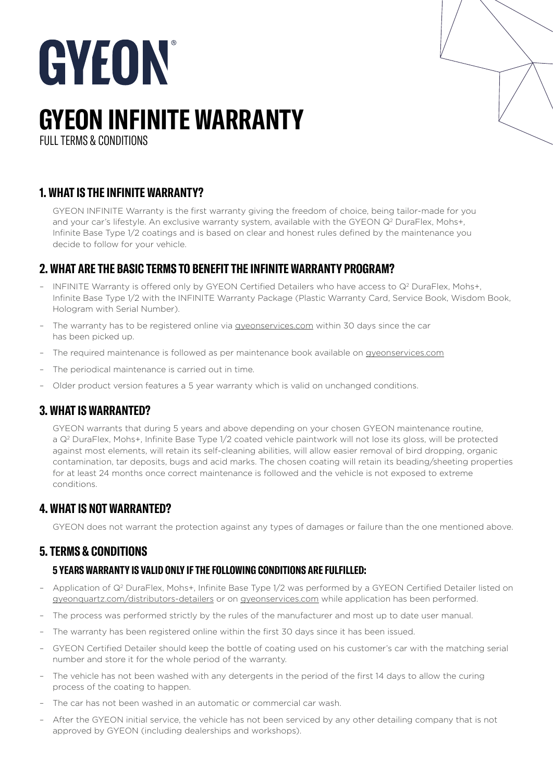# GYEON

# **GYEON INFINITE WARRANTY**

FULL TERMS & CONDITIONS

# **1. WHAT IS THE INFINITE WARRANTY?**

GYEON INFINITE Warranty is the first warranty giving the freedom of choice, being tailor-made for you and your car's lifestyle. An exclusive warranty system, available with the GYEON Q<sup>2</sup> DuraFlex, Mohs+, Infinite Base Type 1/2 coatings and is based on clear and honest rules defined by the maintenance you decide to follow for your vehicle.

## **2. WHAT ARE THE BASIC TERMS TO BENEFIT THE INFINITE WARRANTY PROGRAM?**

- INFINITE Warranty is offered only by GYEON Certified Detailers who have access to Q2 DuraFlex, Mohs+, Infinite Base Type 1/2 with the INFINITE Warranty Package (Plastic Warranty Card, Service Book, Wisdom Book, Hologram with Serial Number).
- The warranty has to be registered online via [gyeonservices.com](http://gyeonservices.com) within 30 days since the car has been picked up.
- The required maintenance is followed as per maintenance book available o[n gyeonservices.com](http://gyeonservices.com)
- The periodical maintenance is carried out in time.
- Older product version features a 5 year warranty which is valid on unchanged conditions.

### **3. WHAT IS WARRANTED?**

GYEON warrants that during 5 years and above depending on your chosen GYEON maintenance routine, a Q2 DuraFlex, Mohs+, Infinite Base Type 1/2 coated vehicle paintwork will not lose its gloss, will be protected against most elements, will retain its self-cleaning abilities, will allow easier removal of bird dropping, organic contamination, tar deposits, bugs and acid marks. The chosen coating will retain its beading/sheeting properties for at least 24 months once correct maintenance is followed and the vehicle is not exposed to extreme conditions.

### **4. WHAT IS NOT WARRANTED?**

GYEON does not warrant the protection against any types of damages or failure than the one mentioned above.

### **5. TERMS & CONDITIONS**

#### **5 YEARS WARRANTY IS VALID ONLY IF THE FOLLOWING CONDITIONS ARE FULFILLED:**

- Application of Q2 DuraFlex, Mohs+, Infinite Base Type 1/2 was performed by a GYEON Certified Detailer listed on [gyeonquartz.com/distributors-detailers](https://gyeonquartz.com/distributors-detailers/) or on [gyeonservices.com](https://gyeonservices.com/en/home) while application has been performed.
- The process was performed strictly by the rules of the manufacturer and most up to date user manual.
- The warranty has been registered online within the first 30 days since it has been issued.
- GYEON Certified Detailer should keep the bottle of coating used on his customer's car with the matching serial number and store it for the whole period of the warranty.
- The vehicle has not been washed with any detergents in the period of the first 14 days to allow the curing process of the coating to happen.
- The car has not been washed in an automatic or commercial car wash.
- After the GYEON initial service, the vehicle has not been serviced by any other detailing company that is not approved by GYEON (including dealerships and workshops).